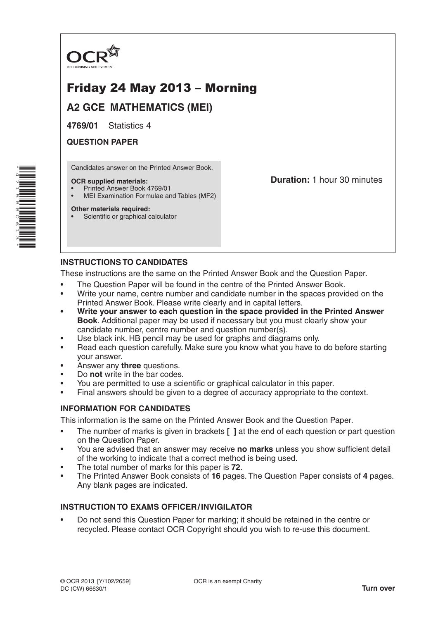

# Friday 24 May 2013 – Morning

**A2 GCE MATHEMATICS (MEI)**

**4769/01** Statistics 4

**QUESTION PAPER**

Candidates answer on the Printed Answer Book.

### **OCR supplied materials:**

- Printed Answer Book 4769/01
- MEI Examination Formulae and Tables (MF2)

### **Other materials required:**

Scientific or graphical calculator

**Duration:** 1 hour 30 minutes

# **INSTRUCTIONS TO CANDIDATES**

These instructions are the same on the Printed Answer Book and the Question Paper.

- The Question Paper will be found in the centre of the Printed Answer Book.
- Write your name, centre number and candidate number in the spaces provided on the Printed Answer Book. Please write clearly and in capital letters.
- **• Write your answer to each question in the space provided in the Printed Answer Book**. Additional paper may be used if necessary but you must clearly show your candidate number, centre number and question number(s).
- Use black ink. HB pencil may be used for graphs and diagrams only.
- Read each question carefully. Make sure you know what you have to do before starting your answer.
- Answer any **three** questions.
- Do **not** write in the bar codes.
- You are permitted to use a scientific or graphical calculator in this paper.
- Final answers should be given to a degree of accuracy appropriate to the context.

## **INFORMATION FOR CANDIDATES**

This information is the same on the Printed Answer Book and the Question Paper.

- The number of marks is given in brackets **[ ]** at the end of each question or part question on the Question Paper.
- You are advised that an answer may receive **no marks** unless you show sufficient detail of the working to indicate that a correct method is being used.
- The total number of marks for this paper is **72**.
- The Printed Answer Book consists of **16** pages. The Question Paper consists of **4** pages. Any blank pages are indicated.

# **INSTRUCTION TO EXAMS OFFICER/INVIGILATOR**

• Do not send this Question Paper for marking; it should be retained in the centre or recycled. Please contact OCR Copyright should you wish to re-use this document.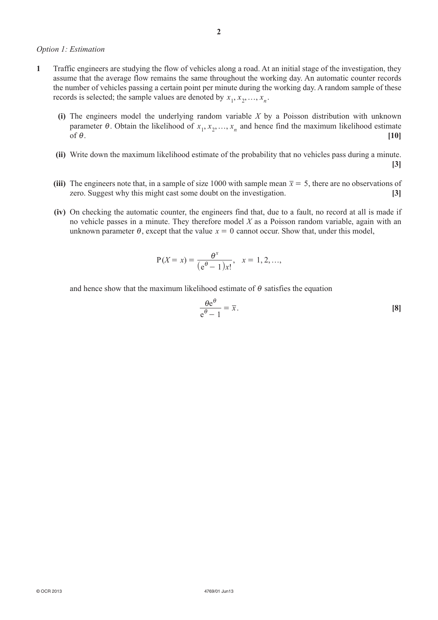### *Option 1: Estimation*

- **1**  Traffic engineers are studying the flow of vehicles along a road. At an initial stage of the investigation, they assume that the average flow remains the same throughout the working day. An automatic counter records the number of vehicles passing a certain point per minute during the working day. A random sample of these records is selected; the sample values are denoted by  $x_1, x_2, ..., x_n$ .
	- **(i)** The engineers model the underlying random variable *X* by a Poisson distribution with unknown parameter  $\theta$ . Obtain the likelihood of  $x_1, x_2, ..., x_n$  and hence find the maximum likelihood estimate of  $\theta$ . of  $\theta$ . [10]
	- **(ii)** Write down the maximum likelihood estimate of the probability that no vehicles pass during a minute. **[3]**
	- **(iii)** The engineers note that, in a sample of size 1000 with sample mean  $\bar{x} = 5$ , there are no observations of zero. Suggest why this might cast some doubt on the investigation. **[3]**
	- **(iv)** On checking the automatic counter, the engineers find that, due to a fault, no record at all is made if no vehicle passes in a minute. They therefore model *X* as a Poisson random variable, again with an unknown parameter  $\theta$ , except that the value  $x = 0$  cannot occur. Show that, under this model,

$$
P(X = x) = \frac{\theta^x}{(e^{\theta} - 1)x!}, \quad x = 1, 2, ...,
$$

and hence show that the maximum likelihood estimate of  $\theta$  satisfies the equation

$$
\frac{\theta e^{\theta}}{e^{\theta}-1} = \overline{x}.
$$
 [8]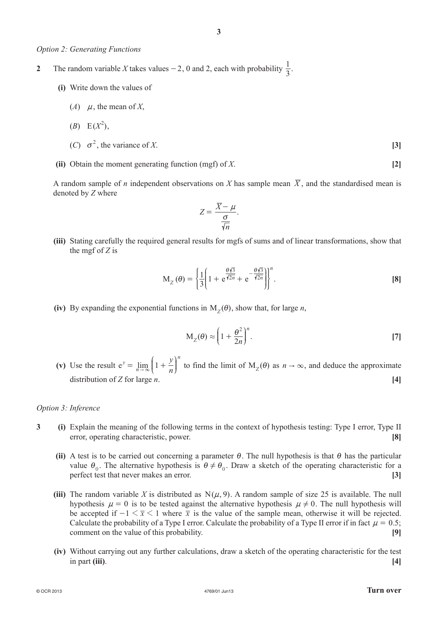#### *Option 2: Generating Functions*

- **2** The random variable *X* takes values  $-2$ , 0 and 2, each with probability  $\frac{1}{3}$ .
	- **(i)** Write down the values of
		- $(A)$  *µ*, the mean of *X*,

$$
(B) \quad \mathcal{E}(X^2),
$$

- $(C)$   $\sigma^2$ , the variance of *X*. **[3]**
- **(ii)** Obtain the moment generating function (mgf) of *X*. **[2]**

A random sample of *n* independent observations on *X* has sample mean  $\overline{X}$ , and the standardised mean is denoted by *Z* where

$$
Z = \frac{\overline{X} - \mu}{\frac{\sigma}{\sqrt{n}}}.
$$

**(iii)** Stating carefully the required general results for mgfs of sums and of linear transformations, show that the mgf of *Z* is

$$
M_Z(\theta) = \left\{ \frac{1}{3} \left( 1 + e^{\frac{\theta \sqrt{3}}{\sqrt{2n}}} + e^{-\frac{\theta \sqrt{3}}{\sqrt{2n}}} \right) \right\}^n.
$$
 [8]

**(iv)** By expanding the exponential functions in  $M_7(\theta)$ , show that, for large *n*,

$$
M_Z(\theta) \approx \left(1 + \frac{\theta^2}{2n}\right)^n.
$$

(v) Use the result  $e^y = \lim_{n \to \infty} \left(1 + \frac{y}{n}\right)$  $e^y = \lim_{n \to \infty} \left(1 + \frac{y}{n}\right)$ *n*  $=$   $\lim_{n \to \infty}$  | 1 +  $\overline{1}$ L  $\left(1+\frac{y}{y}\right)$ to find the limit of  $M_Z(\theta)$  as  $n \to \infty$ , and deduce the approximate  $\alpha$  distribution of *Z* for large *n*.

#### *Option 3: Inference*

- **3** (i) Explain the meaning of the following terms in the context of hypothesis testing: Type I error, Type II error, operating characteristic, power. **[8]**
	- **(ii)** A test is to be carried out concerning a parameter  $\theta$ . The null hypothesis is that  $\theta$  has the particular value  $\theta_0$ . The alternative hypothesis is  $\theta \neq \theta_0$ . Draw a sketch of the operating characteristic for a perfect test that never makes an error. **[3]**
	- **(iii)** The random variable *X* is distributed as  $N(\mu, 9)$ . A random sample of size 25 is available. The null hypothesis  $\mu = 0$  is to be tested against the alternative hypothesis  $\mu \neq 0$ . The null hypothesis will be accepted if  $-1 \le \overline{x} \le 1$  where  $\overline{x}$  is the value of the sample mean, otherwise it will be rejected. Calculate the probability of a Type I error. Calculate the probability of a Type II error if in fact  $\mu = 0.5$ ; comment on the value of this probability. **[9]**
	- **(iv)** Without carrying out any further calculations, draw a sketch of the operating characteristic for the test in part **(iii)**. **[4]**